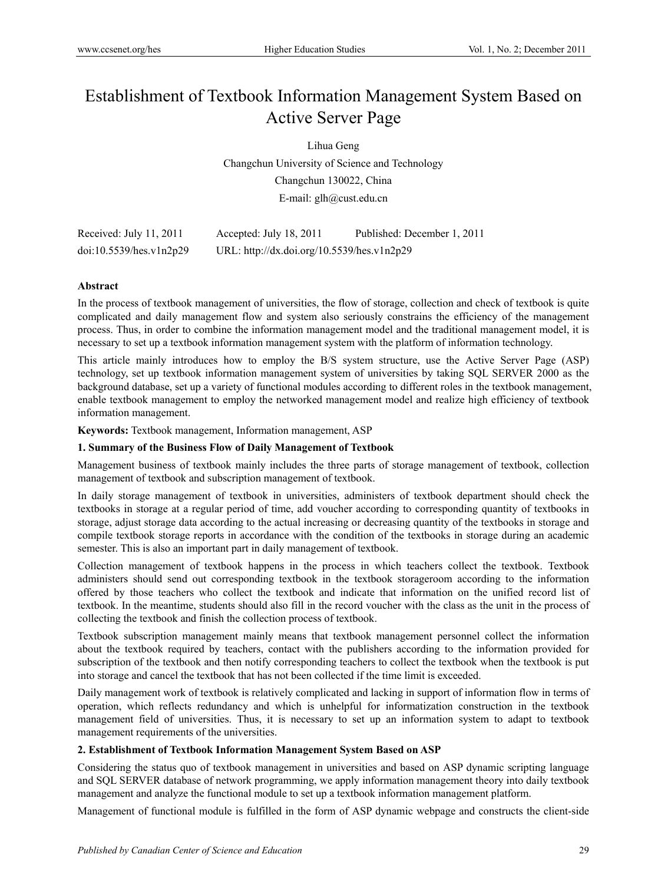# Establishment of Textbook Information Management System Based on Active Server Page

Lihua Geng

Changchun University of Science and Technology Changchun 130022, China E-mail: glh@cust.edu.cn

| Received: July 11, 2011 | Accepted: July 18, 2011                    | Published: December 1, 2011 |
|-------------------------|--------------------------------------------|-----------------------------|
| doi:10.5539/hes.v1n2p29 | URL: http://dx.doi.org/10.5539/hes.v1n2p29 |                             |

## **Abstract**

In the process of textbook management of universities, the flow of storage, collection and check of textbook is quite complicated and daily management flow and system also seriously constrains the efficiency of the management process. Thus, in order to combine the information management model and the traditional management model, it is necessary to set up a textbook information management system with the platform of information technology.

This article mainly introduces how to employ the B/S system structure, use the Active Server Page (ASP) technology, set up textbook information management system of universities by taking SQL SERVER 2000 as the background database, set up a variety of functional modules according to different roles in the textbook management, enable textbook management to employ the networked management model and realize high efficiency of textbook information management.

**Keywords:** Textbook management, Information management, ASP

## **1. Summary of the Business Flow of Daily Management of Textbook**

Management business of textbook mainly includes the three parts of storage management of textbook, collection management of textbook and subscription management of textbook.

In daily storage management of textbook in universities, administers of textbook department should check the textbooks in storage at a regular period of time, add voucher according to corresponding quantity of textbooks in storage, adjust storage data according to the actual increasing or decreasing quantity of the textbooks in storage and compile textbook storage reports in accordance with the condition of the textbooks in storage during an academic semester. This is also an important part in daily management of textbook.

Collection management of textbook happens in the process in which teachers collect the textbook. Textbook administers should send out corresponding textbook in the textbook storageroom according to the information offered by those teachers who collect the textbook and indicate that information on the unified record list of textbook. In the meantime, students should also fill in the record voucher with the class as the unit in the process of collecting the textbook and finish the collection process of textbook.

Textbook subscription management mainly means that textbook management personnel collect the information about the textbook required by teachers, contact with the publishers according to the information provided for subscription of the textbook and then notify corresponding teachers to collect the textbook when the textbook is put into storage and cancel the textbook that has not been collected if the time limit is exceeded.

Daily management work of textbook is relatively complicated and lacking in support of information flow in terms of operation, which reflects redundancy and which is unhelpful for informatization construction in the textbook management field of universities. Thus, it is necessary to set up an information system to adapt to textbook management requirements of the universities.

## **2. Establishment of Textbook Information Management System Based on ASP**

Considering the status quo of textbook management in universities and based on ASP dynamic scripting language and SQL SERVER database of network programming, we apply information management theory into daily textbook management and analyze the functional module to set up a textbook information management platform.

Management of functional module is fulfilled in the form of ASP dynamic webpage and constructs the client-side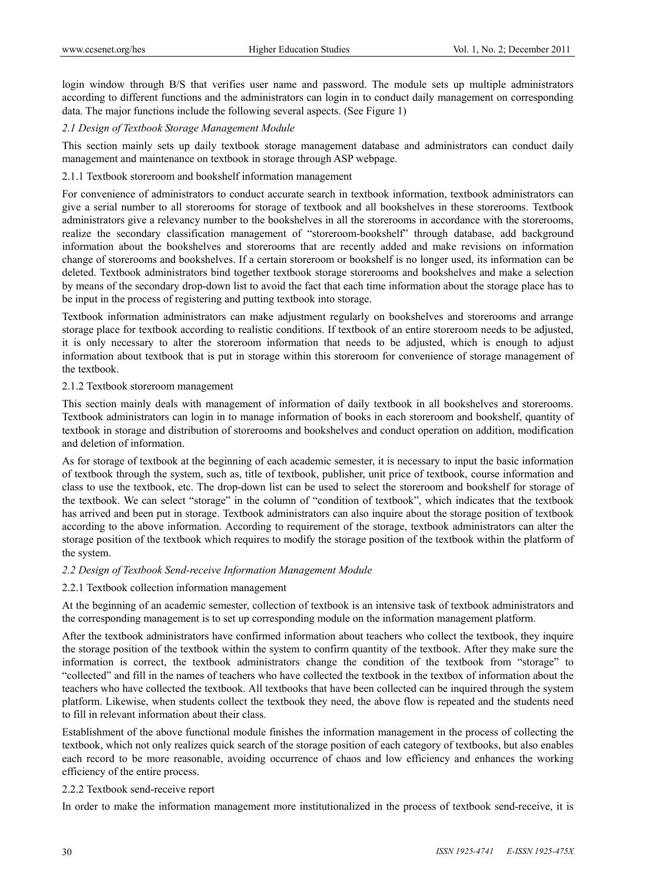login window through B/S that verifies user name and password. The module sets up multiple administrators according to different functions and the administrators can login in to conduct daily management on corresponding data. The major functions include the following several aspects. (See Figure 1)

## *2.1 Design of Textbook Storage Management Module*

This section mainly sets up daily textbook storage management database and administrators can conduct daily management and maintenance on textbook in storage through ASP webpage.

## 2.1.1 Textbook storeroom and bookshelf information management

For convenience of administrators to conduct accurate search in textbook information, textbook administrators can give a serial number to all storerooms for storage of textbook and all bookshelves in these storerooms. Textbook administrators give a relevancy number to the bookshelves in all the storerooms in accordance with the storerooms, realize the secondary classification management of "storeroom-bookshelf" through database, add background information about the bookshelves and storerooms that are recently added and make revisions on information change of storerooms and bookshelves. If a certain storeroom or bookshelf is no longer used, its information can be deleted. Textbook administrators bind together textbook storage storerooms and bookshelves and make a selection by means of the secondary drop-down list to avoid the fact that each time information about the storage place has to be input in the process of registering and putting textbook into storage.

Textbook information administrators can make adjustment regularly on bookshelves and storerooms and arrange storage place for textbook according to realistic conditions. If textbook of an entire storeroom needs to be adjusted, it is only necessary to alter the storeroom information that needs to be adjusted, which is enough to adjust information about textbook that is put in storage within this storeroom for convenience of storage management of the textbook.

## 2.1.2 Textbook storeroom management

This section mainly deals with management of information of daily textbook in all bookshelves and storerooms. Textbook administrators can login in to manage information of books in each storeroom and bookshelf, quantity of textbook in storage and distribution of storerooms and bookshelves and conduct operation on addition, modification and deletion of information.

As for storage of textbook at the beginning of each academic semester, it is necessary to input the basic information of textbook through the system, such as, title of textbook, publisher, unit price of textbook, course information and class to use the textbook, etc. The drop-down list can be used to select the storeroom and bookshelf for storage of the textbook. We can select "storage" in the column of "condition of textbook", which indicates that the textbook has arrived and been put in storage. Textbook administrators can also inquire about the storage position of textbook according to the above information. According to requirement of the storage, textbook administrators can alter the storage position of the textbook which requires to modify the storage position of the textbook within the platform of the system.

## *2.2 Design of Textbook Send-receive Information Management Module*

## 2.2.1 Textbook collection information management

At the beginning of an academic semester, collection of textbook is an intensive task of textbook administrators and the corresponding management is to set up corresponding module on the information management platform.

After the textbook administrators have confirmed information about teachers who collect the textbook, they inquire the storage position of the textbook within the system to confirm quantity of the textbook. After they make sure the information is correct, the textbook administrators change the condition of the textbook from "storage" to "collected" and fill in the names of teachers who have collected the textbook in the textbox of information about the teachers who have collected the textbook. All textbooks that have been collected can be inquired through the system platform. Likewise, when students collect the textbook they need, the above flow is repeated and the students need to fill in relevant information about their class.

Establishment of the above functional module finishes the information management in the process of collecting the textbook, which not only realizes quick search of the storage position of each category of textbooks, but also enables each record to be more reasonable, avoiding occurrence of chaos and low efficiency and enhances the working efficiency of the entire process.

## 2.2.2 Textbook send-receive report

In order to make the information management more institutionalized in the process of textbook send-receive, it is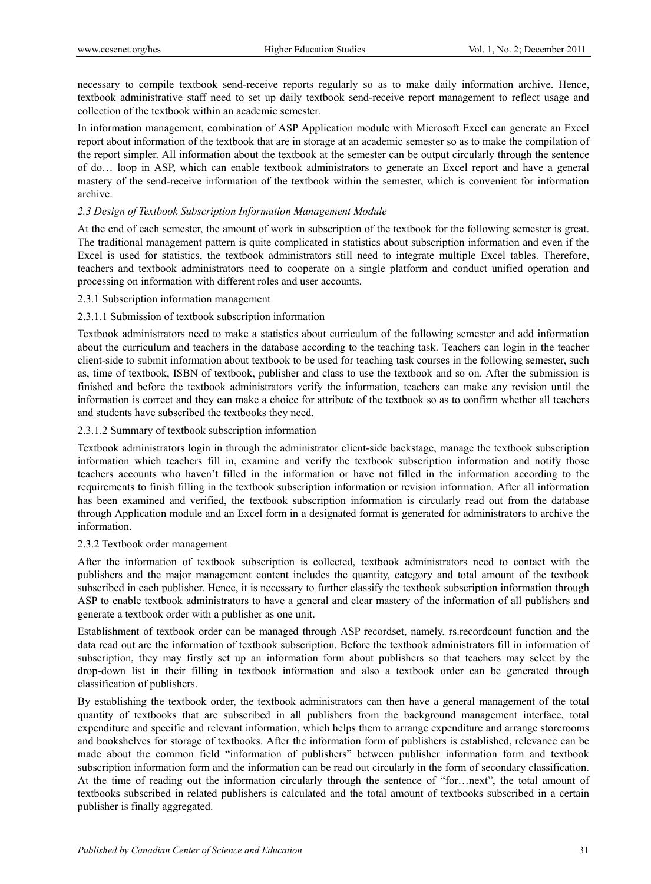necessary to compile textbook send-receive reports regularly so as to make daily information archive. Hence, textbook administrative staff need to set up daily textbook send-receive report management to reflect usage and collection of the textbook within an academic semester.

In information management, combination of ASP Application module with Microsoft Excel can generate an Excel report about information of the textbook that are in storage at an academic semester so as to make the compilation of the report simpler. All information about the textbook at the semester can be output circularly through the sentence of do… loop in ASP, which can enable textbook administrators to generate an Excel report and have a general mastery of the send-receive information of the textbook within the semester, which is convenient for information archive.

## *2.3 Design of Textbook Subscription Information Management Module*

At the end of each semester, the amount of work in subscription of the textbook for the following semester is great. The traditional management pattern is quite complicated in statistics about subscription information and even if the Excel is used for statistics, the textbook administrators still need to integrate multiple Excel tables. Therefore, teachers and textbook administrators need to cooperate on a single platform and conduct unified operation and processing on information with different roles and user accounts.

## 2.3.1 Subscription information management

## 2.3.1.1 Submission of textbook subscription information

Textbook administrators need to make a statistics about curriculum of the following semester and add information about the curriculum and teachers in the database according to the teaching task. Teachers can login in the teacher client-side to submit information about textbook to be used for teaching task courses in the following semester, such as, time of textbook, ISBN of textbook, publisher and class to use the textbook and so on. After the submission is finished and before the textbook administrators verify the information, teachers can make any revision until the information is correct and they can make a choice for attribute of the textbook so as to confirm whether all teachers and students have subscribed the textbooks they need.

## 2.3.1.2 Summary of textbook subscription information

Textbook administrators login in through the administrator client-side backstage, manage the textbook subscription information which teachers fill in, examine and verify the textbook subscription information and notify those teachers accounts who haven't filled in the information or have not filled in the information according to the requirements to finish filling in the textbook subscription information or revision information. After all information has been examined and verified, the textbook subscription information is circularly read out from the database through Application module and an Excel form in a designated format is generated for administrators to archive the information.

## 2.3.2 Textbook order management

After the information of textbook subscription is collected, textbook administrators need to contact with the publishers and the major management content includes the quantity, category and total amount of the textbook subscribed in each publisher. Hence, it is necessary to further classify the textbook subscription information through ASP to enable textbook administrators to have a general and clear mastery of the information of all publishers and generate a textbook order with a publisher as one unit.

Establishment of textbook order can be managed through ASP recordset, namely, rs.recordcount function and the data read out are the information of textbook subscription. Before the textbook administrators fill in information of subscription, they may firstly set up an information form about publishers so that teachers may select by the drop-down list in their filling in textbook information and also a textbook order can be generated through classification of publishers.

By establishing the textbook order, the textbook administrators can then have a general management of the total quantity of textbooks that are subscribed in all publishers from the background management interface, total expenditure and specific and relevant information, which helps them to arrange expenditure and arrange storerooms and bookshelves for storage of textbooks. After the information form of publishers is established, relevance can be made about the common field "information of publishers" between publisher information form and textbook subscription information form and the information can be read out circularly in the form of secondary classification. At the time of reading out the information circularly through the sentence of "for…next", the total amount of textbooks subscribed in related publishers is calculated and the total amount of textbooks subscribed in a certain publisher is finally aggregated.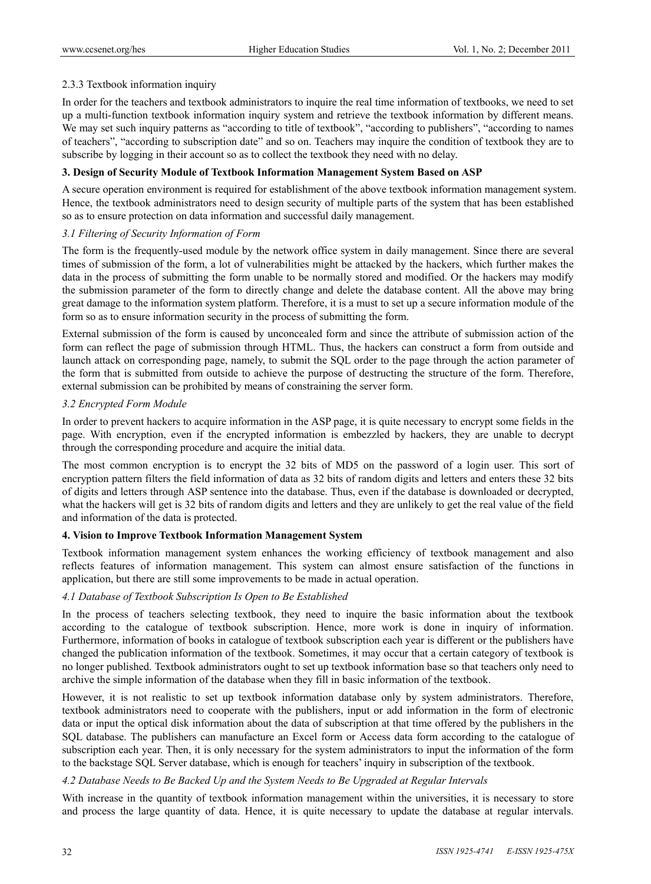## 2.3.3 Textbook information inquiry

In order for the teachers and textbook administrators to inquire the real time information of textbooks, we need to set up a multi-function textbook information inquiry system and retrieve the textbook information by different means. We may set such inquiry patterns as "according to title of textbook", "according to publishers", "according to names of teachers", "according to subscription date" and so on. Teachers may inquire the condition of textbook they are to subscribe by logging in their account so as to collect the textbook they need with no delay.

## **3. Design of Security Module of Textbook Information Management System Based on ASP**

A secure operation environment is required for establishment of the above textbook information management system. Hence, the textbook administrators need to design security of multiple parts of the system that has been established so as to ensure protection on data information and successful daily management.

## *3.1 Filtering of Security Information of Form*

The form is the frequently-used module by the network office system in daily management. Since there are several times of submission of the form, a lot of vulnerabilities might be attacked by the hackers, which further makes the data in the process of submitting the form unable to be normally stored and modified. Or the hackers may modify the submission parameter of the form to directly change and delete the database content. All the above may bring great damage to the information system platform. Therefore, it is a must to set up a secure information module of the form so as to ensure information security in the process of submitting the form.

External submission of the form is caused by unconcealed form and since the attribute of submission action of the form can reflect the page of submission through HTML. Thus, the hackers can construct a form from outside and launch attack on corresponding page, namely, to submit the SQL order to the page through the action parameter of the form that is submitted from outside to achieve the purpose of destructing the structure of the form. Therefore, external submission can be prohibited by means of constraining the server form.

## *3.2 Encrypted Form Module*

In order to prevent hackers to acquire information in the ASP page, it is quite necessary to encrypt some fields in the page. With encryption, even if the encrypted information is embezzled by hackers, they are unable to decrypt through the corresponding procedure and acquire the initial data.

The most common encryption is to encrypt the 32 bits of MD5 on the password of a login user. This sort of encryption pattern filters the field information of data as 32 bits of random digits and letters and enters these 32 bits of digits and letters through ASP sentence into the database. Thus, even if the database is downloaded or decrypted, what the hackers will get is 32 bits of random digits and letters and they are unlikely to get the real value of the field and information of the data is protected.

## **4. Vision to Improve Textbook Information Management System**

Textbook information management system enhances the working efficiency of textbook management and also reflects features of information management. This system can almost ensure satisfaction of the functions in application, but there are still some improvements to be made in actual operation.

# *4.1 Database of Textbook Subscription Is Open to Be Established*

In the process of teachers selecting textbook, they need to inquire the basic information about the textbook according to the catalogue of textbook subscription. Hence, more work is done in inquiry of information. Furthermore, information of books in catalogue of textbook subscription each year is different or the publishers have changed the publication information of the textbook. Sometimes, it may occur that a certain category of textbook is no longer published. Textbook administrators ought to set up textbook information base so that teachers only need to archive the simple information of the database when they fill in basic information of the textbook.

However, it is not realistic to set up textbook information database only by system administrators. Therefore, textbook administrators need to cooperate with the publishers, input or add information in the form of electronic data or input the optical disk information about the data of subscription at that time offered by the publishers in the SQL database. The publishers can manufacture an Excel form or Access data form according to the catalogue of subscription each year. Then, it is only necessary for the system administrators to input the information of the form to the backstage SQL Server database, which is enough for teachers' inquiry in subscription of the textbook.

# *4.2 Database Needs to Be Backed Up and the System Needs to Be Upgraded at Regular Intervals*

With increase in the quantity of textbook information management within the universities, it is necessary to store and process the large quantity of data. Hence, it is quite necessary to update the database at regular intervals.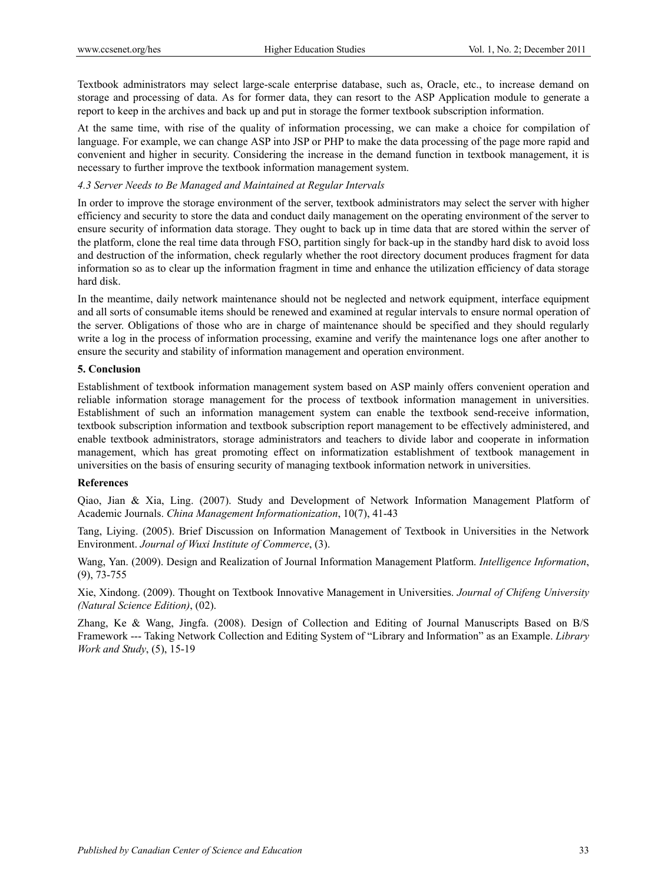Textbook administrators may select large-scale enterprise database, such as, Oracle, etc., to increase demand on storage and processing of data. As for former data, they can resort to the ASP Application module to generate a report to keep in the archives and back up and put in storage the former textbook subscription information.

At the same time, with rise of the quality of information processing, we can make a choice for compilation of language. For example, we can change ASP into JSP or PHP to make the data processing of the page more rapid and convenient and higher in security. Considering the increase in the demand function in textbook management, it is necessary to further improve the textbook information management system.

#### *4.3 Server Needs to Be Managed and Maintained at Regular Intervals*

In order to improve the storage environment of the server, textbook administrators may select the server with higher efficiency and security to store the data and conduct daily management on the operating environment of the server to ensure security of information data storage. They ought to back up in time data that are stored within the server of the platform, clone the real time data through FSO, partition singly for back-up in the standby hard disk to avoid loss and destruction of the information, check regularly whether the root directory document produces fragment for data information so as to clear up the information fragment in time and enhance the utilization efficiency of data storage hard disk.

In the meantime, daily network maintenance should not be neglected and network equipment, interface equipment and all sorts of consumable items should be renewed and examined at regular intervals to ensure normal operation of the server. Obligations of those who are in charge of maintenance should be specified and they should regularly write a log in the process of information processing, examine and verify the maintenance logs one after another to ensure the security and stability of information management and operation environment.

#### **5. Conclusion**

Establishment of textbook information management system based on ASP mainly offers convenient operation and reliable information storage management for the process of textbook information management in universities. Establishment of such an information management system can enable the textbook send-receive information, textbook subscription information and textbook subscription report management to be effectively administered, and enable textbook administrators, storage administrators and teachers to divide labor and cooperate in information management, which has great promoting effect on informatization establishment of textbook management in universities on the basis of ensuring security of managing textbook information network in universities.

#### **References**

Qiao, Jian & Xia, Ling. (2007). Study and Development of Network Information Management Platform of Academic Journals. *China Management Informationization*, 10(7), 41-43

Tang, Liying. (2005). Brief Discussion on Information Management of Textbook in Universities in the Network Environment. *Journal of Wuxi Institute of Commerce*, (3).

Wang, Yan. (2009). Design and Realization of Journal Information Management Platform. *Intelligence Information*, (9), 73-755

Xie, Xindong. (2009). Thought on Textbook Innovative Management in Universities. *Journal of Chifeng University (Natural Science Edition)*, (02).

Zhang, Ke & Wang, Jingfa. (2008). Design of Collection and Editing of Journal Manuscripts Based on B/S Framework --- Taking Network Collection and Editing System of "Library and Information" as an Example. *Library Work and Study*, (5), 15-19